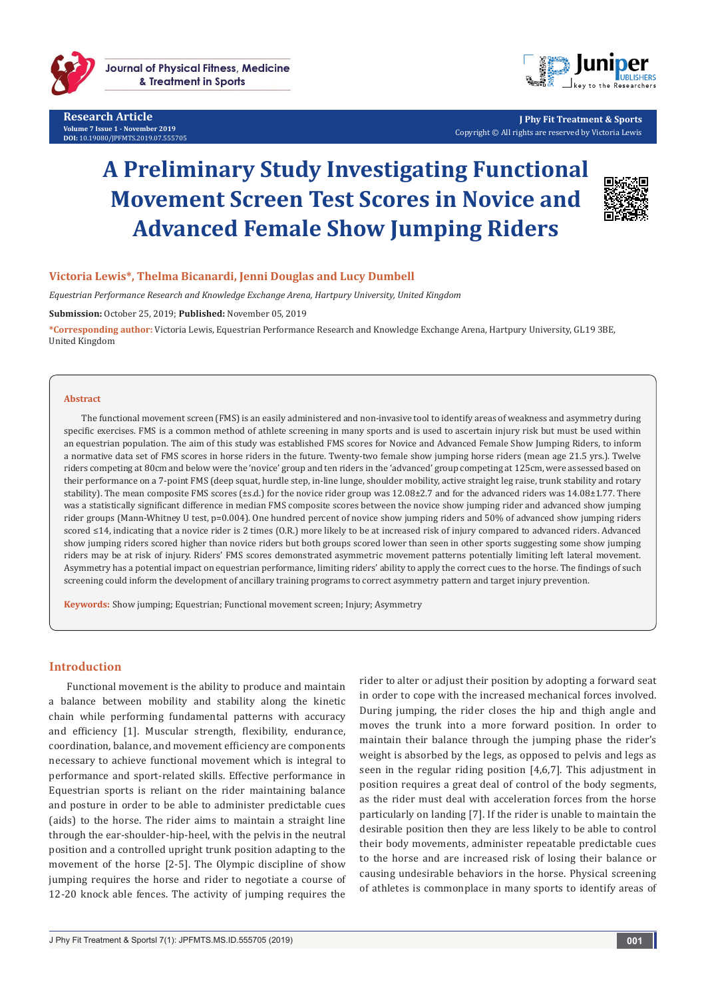

**Research Article Volume 7 Issue 1 - November 2019 DOI:** [10.19080/JPFMTS.2019.07.555705](http://dx.doi.org/10.19080/JPFMTS.2019.07.555705)



**J Phy Fit Treatment & Sports** Copyright © All rights are reserved by Victoria Lewis

# **A Preliminary Study Investigating Functional Movement Screen Test Scores in Novice and Advanced Female Show Jumping Riders**



## **Victoria Lewis\*, Thelma Bicanardi, Jenni Douglas and Lucy Dumbell**

*Equestrian Performance Research and Knowledge Exchange Arena, Hartpury University, United Kingdom*

**Submission:** October 25, 2019; **Published:** November 05, 2019

**\*Corresponding author:** Victoria Lewis, Equestrian Performance Research and Knowledge Exchange Arena, Hartpury University, GL19 3BE, United Kingdom

#### **Abstract**

The functional movement screen (FMS) is an easily administered and non-invasive tool to identify areas of weakness and asymmetry during specific exercises. FMS is a common method of athlete screening in many sports and is used to ascertain injury risk but must be used within an equestrian population. The aim of this study was established FMS scores for Novice and Advanced Female Show Jumping Riders, to inform a normative data set of FMS scores in horse riders in the future. Twenty-two female show jumping horse riders (mean age 21.5 yrs.). Twelve riders competing at 80cm and below were the 'novice' group and ten riders in the 'advanced' group competing at 125cm, were assessed based on their performance on a 7-point FMS (deep squat, hurdle step, in-line lunge, shoulder mobility, active straight leg raise, trunk stability and rotary stability). The mean composite FMS scores (±s.d.) for the novice rider group was 12.08±2.7 and for the advanced riders was 14.08±1.77. There was a statistically significant difference in median FMS composite scores between the novice show jumping rider and advanced show jumping rider groups (Mann-Whitney U test, p=0.004). One hundred percent of novice show jumping riders and 50% of advanced show jumping riders scored ≤14, indicating that a novice rider is 2 times (O.R.) more likely to be at increased risk of injury compared to advanced riders. Advanced show jumping riders scored higher than novice riders but both groups scored lower than seen in other sports suggesting some show jumping riders may be at risk of injury. Riders' FMS scores demonstrated asymmetric movement patterns potentially limiting left lateral movement. Asymmetry has a potential impact on equestrian performance, limiting riders' ability to apply the correct cues to the horse. The findings of such screening could inform the development of ancillary training programs to correct asymmetry pattern and target injury prevention.

**Keywords:** Show jumping; Equestrian; Functional movement screen; Injury; Asymmetry

## **Introduction**

Functional movement is the ability to produce and maintain a balance between mobility and stability along the kinetic chain while performing fundamental patterns with accuracy and efficiency [1]. Muscular strength, flexibility, endurance, coordination, balance, and movement efficiency are components necessary to achieve functional movement which is integral to performance and sport-related skills. Effective performance in Equestrian sports is reliant on the rider maintaining balance and posture in order to be able to administer predictable cues (aids) to the horse. The rider aims to maintain a straight line through the ear-shoulder-hip-heel, with the pelvis in the neutral position and a controlled upright trunk position adapting to the movement of the horse [2-5]. The Olympic discipline of show jumping requires the horse and rider to negotiate a course of 12-20 knock able fences. The activity of jumping requires the

rider to alter or adjust their position by adopting a forward seat in order to cope with the increased mechanical forces involved. During jumping, the rider closes the hip and thigh angle and moves the trunk into a more forward position. In order to maintain their balance through the jumping phase the rider's weight is absorbed by the legs, as opposed to pelvis and legs as seen in the regular riding position [4,6,7]. This adjustment in position requires a great deal of control of the body segments, as the rider must deal with acceleration forces from the horse particularly on landing [7]. If the rider is unable to maintain the desirable position then they are less likely to be able to control their body movements, administer repeatable predictable cues to the horse and are increased risk of losing their balance or causing undesirable behaviors in the horse. Physical screening of athletes is commonplace in many sports to identify areas of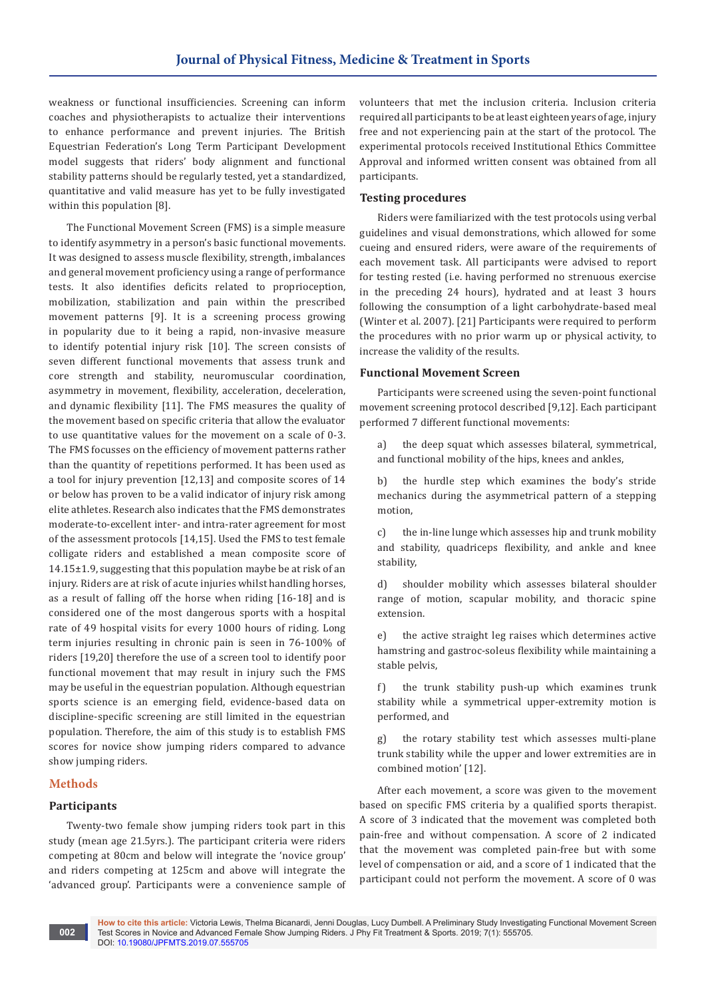weakness or functional insufficiencies. Screening can inform coaches and physiotherapists to actualize their interventions to enhance performance and prevent injuries. The British Equestrian Federation's Long Term Participant Development model suggests that riders' body alignment and functional stability patterns should be regularly tested, yet a standardized, quantitative and valid measure has yet to be fully investigated within this population [8].

The Functional Movement Screen (FMS) is a simple measure to identify asymmetry in a person's basic functional movements. It was designed to assess muscle flexibility, strength, imbalances and general movement proficiency using a range of performance tests. It also identifies deficits related to proprioception, mobilization, stabilization and pain within the prescribed movement patterns [9]. It is a screening process growing in popularity due to it being a rapid, non-invasive measure to identify potential injury risk [10]. The screen consists of seven different functional movements that assess trunk and core strength and stability, neuromuscular coordination, asymmetry in movement, flexibility, acceleration, deceleration, and dynamic flexibility [11]. The FMS measures the quality of the movement based on specific criteria that allow the evaluator to use quantitative values for the movement on a scale of 0-3. The FMS focusses on the efficiency of movement patterns rather than the quantity of repetitions performed. It has been used as a tool for injury prevention [12,13] and composite scores of 14 or below has proven to be a valid indicator of injury risk among elite athletes. Research also indicates that the FMS demonstrates moderate-to-excellent inter- and intra-rater agreement for most of the assessment protocols [14,15]. Used the FMS to test female colligate riders and established a mean composite score of 14.15±1.9, suggesting that this population maybe be at risk of an injury. Riders are at risk of acute injuries whilst handling horses, as a result of falling off the horse when riding [16-18] and is considered one of the most dangerous sports with a hospital rate of 49 hospital visits for every 1000 hours of riding. Long term injuries resulting in chronic pain is seen in 76-100% of riders [19,20] therefore the use of a screen tool to identify poor functional movement that may result in injury such the FMS may be useful in the equestrian population. Although equestrian sports science is an emerging field, evidence-based data on discipline-specific screening are still limited in the equestrian population. Therefore, the aim of this study is to establish FMS scores for novice show jumping riders compared to advance show jumping riders.

## **Methods**

## **Participants**

Twenty-two female show jumping riders took part in this study (mean age 21.5yrs.). The participant criteria were riders competing at 80cm and below will integrate the 'novice group' and riders competing at 125cm and above will integrate the 'advanced group'. Participants were a convenience sample of volunteers that met the inclusion criteria. Inclusion criteria required all participants to be at least eighteen years of age, injury free and not experiencing pain at the start of the protocol. The experimental protocols received Institutional Ethics Committee Approval and informed written consent was obtained from all participants.

## **Testing procedures**

Riders were familiarized with the test protocols using verbal guidelines and visual demonstrations, which allowed for some cueing and ensured riders, were aware of the requirements of each movement task. All participants were advised to report for testing rested (i.e. having performed no strenuous exercise in the preceding 24 hours), hydrated and at least 3 hours following the consumption of a light carbohydrate-based meal (Winter et al. 2007). [21] Participants were required to perform the procedures with no prior warm up or physical activity, to increase the validity of the results.

## **Functional Movement Screen**

Participants were screened using the seven-point functional movement screening protocol described [9,12]. Each participant performed 7 different functional movements:

a) the deep squat which assesses bilateral, symmetrical, and functional mobility of the hips, knees and ankles,

b) the hurdle step which examines the body's stride mechanics during the asymmetrical pattern of a stepping motion,

c) the in-line lunge which assesses hip and trunk mobility and stability, quadriceps flexibility, and ankle and knee stability,

d) shoulder mobility which assesses bilateral shoulder range of motion, scapular mobility, and thoracic spine extension.

e) the active straight leg raises which determines active hamstring and gastroc-soleus flexibility while maintaining a stable pelvis,

f) the trunk stability push-up which examines trunk stability while a symmetrical upper-extremity motion is performed, and

g) the rotary stability test which assesses multi-plane trunk stability while the upper and lower extremities are in combined motion' [12].

After each movement, a score was given to the movement based on specific FMS criteria by a qualified sports therapist. A score of 3 indicated that the movement was completed both pain-free and without compensation. A score of 2 indicated that the movement was completed pain-free but with some level of compensation or aid, and a score of 1 indicated that the participant could not perform the movement. A score of 0 was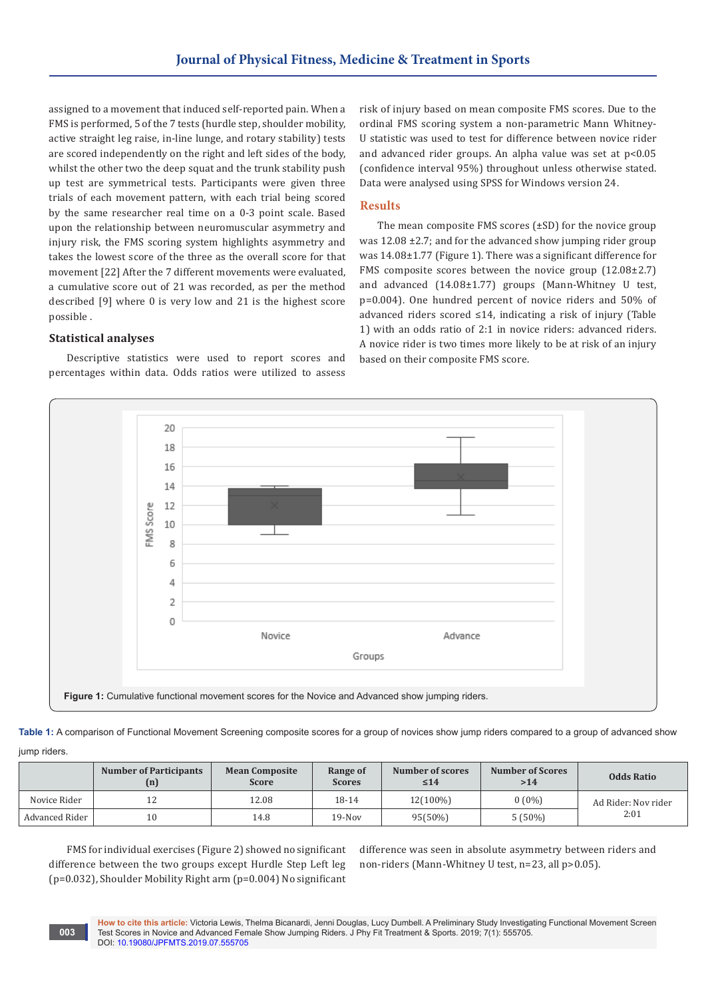assigned to a movement that induced self-reported pain. When a FMS is performed, 5 of the 7 tests (hurdle step, shoulder mobility, active straight leg raise, in-line lunge, and rotary stability) tests are scored independently on the right and left sides of the body, whilst the other two the deep squat and the trunk stability push up test are symmetrical tests. Participants were given three trials of each movement pattern, with each trial being scored by the same researcher real time on a 0-3 point scale. Based upon the relationship between neuromuscular asymmetry and injury risk, the FMS scoring system highlights asymmetry and takes the lowest score of the three as the overall score for that movement [22] After the 7 different movements were evaluated, a cumulative score out of 21 was recorded, as per the method described [9] where 0 is very low and 21 is the highest score possible .

risk of injury based on mean composite FMS scores. Due to the ordinal FMS scoring system a non-parametric Mann Whitney-U statistic was used to test for difference between novice rider and advanced rider groups. An alpha value was set at p<0.05 (confidence interval 95%) throughout unless otherwise stated. Data were analysed using SPSS for Windows version 24.

## **Results**

The mean composite FMS scores (±SD) for the novice group was 12.08 ±2.7; and for the advanced show jumping rider group was 14.08±1.77 (Figure 1). There was a significant difference for FMS composite scores between the novice group (12.08±2.7) and advanced (14.08±1.77) groups (Mann-Whitney U test, p=0.004). One hundred percent of novice riders and 50% of advanced riders scored ≤14, indicating a risk of injury (Table 1) with an odds ratio of 2:1 in novice riders: advanced riders. A novice rider is two times more likely to be at risk of an injury based on their composite FMS score.

## **Statistical analyses**

Descriptive statistics were used to report scores and percentages within data. Odds ratios were utilized to assess



**Table 1:** A comparison of Functional Movement Screening composite scores for a group of novices show jump riders compared to a group of advanced show

| jump riders. |  |
|--------------|--|
|              |  |

**003**

|                | <b>Number of Participants</b><br>(n) | <b>Mean Composite</b><br><b>Score</b> | Range of<br><b>Scores</b> | Number of scores<br>$\leq 14$ | <b>Number of Scores</b><br>>14 | <b>Odds Ratio</b>           |
|----------------|--------------------------------------|---------------------------------------|---------------------------|-------------------------------|--------------------------------|-----------------------------|
| Novice Rider   | $\overline{1}$                       | 12.08                                 | $18-14$                   | 12(100%)                      | $0(0\%)$                       | Ad Rider: Nov rider<br>2:01 |
| Advanced Rider | 10                                   | 14.8                                  | $19-Nov$                  | 95(50%)                       | $5(50\%)$                      |                             |

FMS for individual exercises (Figure 2) showed no significant difference between the two groups except Hurdle Step Left leg (p=0.032), Shoulder Mobility Right arm (p=0.004) No significant

difference was seen in absolute asymmetry between riders and non-riders (Mann-Whitney U test, n=23, all p>0.05).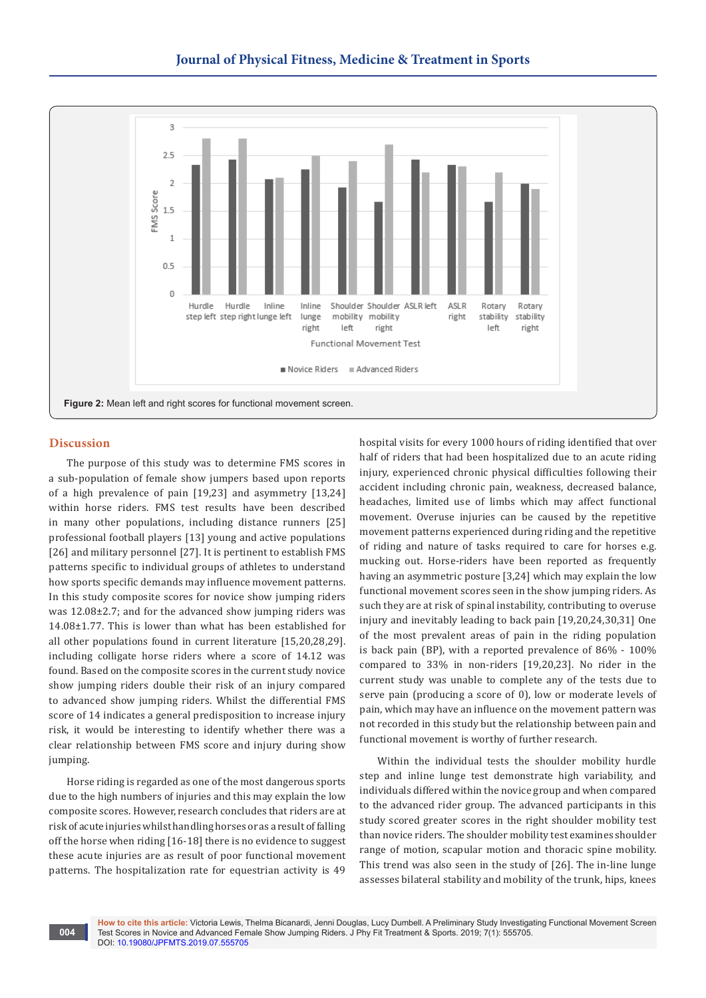

## **Discussion**

**004**

The purpose of this study was to determine FMS scores in a sub-population of female show jumpers based upon reports of a high prevalence of pain [19,23] and asymmetry [13,24] within horse riders. FMS test results have been described in many other populations, including distance runners [25] professional football players [13] young and active populations [26] and military personnel [27]. It is pertinent to establish FMS patterns specific to individual groups of athletes to understand how sports specific demands may influence movement patterns. In this study composite scores for novice show jumping riders was 12.08±2.7; and for the advanced show jumping riders was 14.08±1.77. This is lower than what has been established for all other populations found in current literature [15,20,28,29]. including colligate horse riders where a score of 14.12 was found. Based on the composite scores in the current study novice show jumping riders double their risk of an injury compared to advanced show jumping riders. Whilst the differential FMS score of 14 indicates a general predisposition to increase injury risk, it would be interesting to identify whether there was a clear relationship between FMS score and injury during show jumping.

Horse riding is regarded as one of the most dangerous sports due to the high numbers of injuries and this may explain the low composite scores. However, research concludes that riders are at risk of acute injuries whilst handling horses or as a result of falling off the horse when riding [16-18] there is no evidence to suggest these acute injuries are as result of poor functional movement patterns. The hospitalization rate for equestrian activity is 49

hospital visits for every 1000 hours of riding identified that over half of riders that had been hospitalized due to an acute riding injury, experienced chronic physical difficulties following their accident including chronic pain, weakness, decreased balance, headaches, limited use of limbs which may affect functional movement. Overuse injuries can be caused by the repetitive movement patterns experienced during riding and the repetitive of riding and nature of tasks required to care for horses e.g. mucking out. Horse-riders have been reported as frequently having an asymmetric posture [3,24] which may explain the low functional movement scores seen in the show jumping riders. As such they are at risk of spinal instability, contributing to overuse injury and inevitably leading to back pain [19,20,24,30,31] One of the most prevalent areas of pain in the riding population is back pain (BP), with a reported prevalence of 86% - 100% compared to 33% in non-riders [19,20,23]. No rider in the current study was unable to complete any of the tests due to serve pain (producing a score of 0), low or moderate levels of pain, which may have an influence on the movement pattern was not recorded in this study but the relationship between pain and functional movement is worthy of further research.

Within the individual tests the shoulder mobility hurdle step and inline lunge test demonstrate high variability, and individuals differed within the novice group and when compared to the advanced rider group. The advanced participants in this study scored greater scores in the right shoulder mobility test than novice riders. The shoulder mobility test examines shoulder range of motion, scapular motion and thoracic spine mobility. This trend was also seen in the study of [26]. The in-line lunge assesses bilateral stability and mobility of the trunk, hips, knees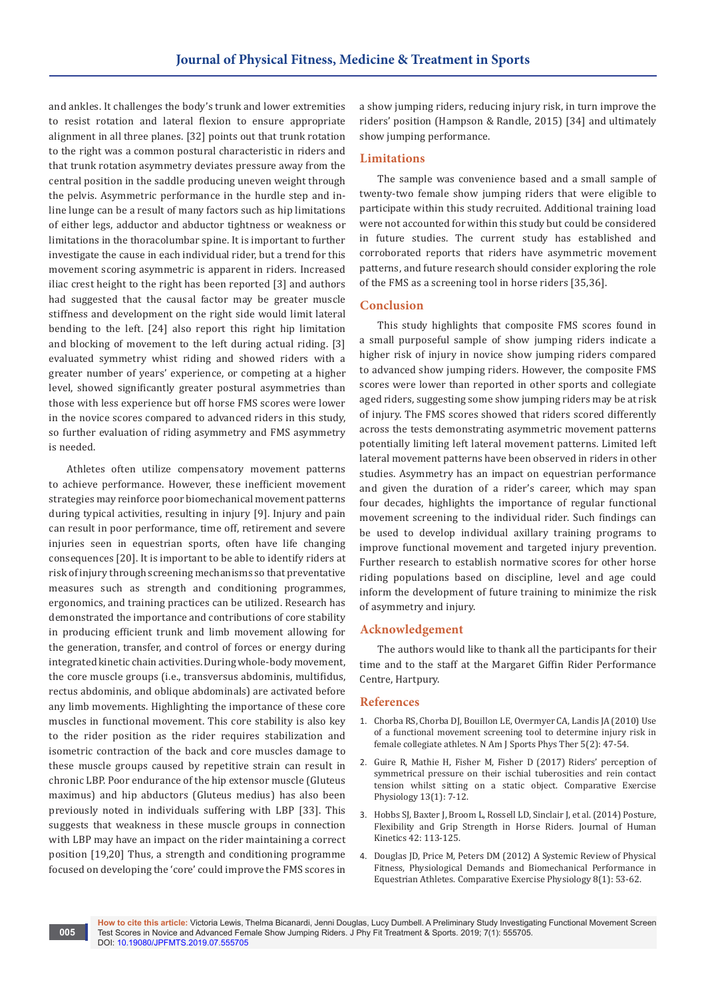and ankles. It challenges the body's trunk and lower extremities to resist rotation and lateral flexion to ensure appropriate alignment in all three planes. [32] points out that trunk rotation to the right was a common postural characteristic in riders and that trunk rotation asymmetry deviates pressure away from the central position in the saddle producing uneven weight through the pelvis. Asymmetric performance in the hurdle step and inline lunge can be a result of many factors such as hip limitations of either legs, adductor and abductor tightness or weakness or limitations in the thoracolumbar spine. It is important to further investigate the cause in each individual rider, but a trend for this movement scoring asymmetric is apparent in riders. Increased iliac crest height to the right has been reported [3] and authors had suggested that the causal factor may be greater muscle stiffness and development on the right side would limit lateral bending to the left. [24] also report this right hip limitation and blocking of movement to the left during actual riding. [3] evaluated symmetry whist riding and showed riders with a greater number of years' experience, or competing at a higher level, showed significantly greater postural asymmetries than those with less experience but off horse FMS scores were lower in the novice scores compared to advanced riders in this study, so further evaluation of riding asymmetry and FMS asymmetry is needed.

Athletes often utilize compensatory movement patterns to achieve performance. However, these inefficient movement strategies may reinforce poor biomechanical movement patterns during typical activities, resulting in injury [9]. Injury and pain can result in poor performance, time off, retirement and severe injuries seen in equestrian sports, often have life changing consequences [20]. It is important to be able to identify riders at risk of injury through screening mechanisms so that preventative measures such as strength and conditioning programmes, ergonomics, and training practices can be utilized. Research has demonstrated the importance and contributions of core stability in producing efficient trunk and limb movement allowing for the generation, transfer, and control of forces or energy during integrated kinetic chain activities. During whole-body movement, the core muscle groups (i.e., transversus abdominis, multifidus, rectus abdominis, and oblique abdominals) are activated before any limb movements. Highlighting the importance of these core muscles in functional movement. This core stability is also key to the rider position as the rider requires stabilization and isometric contraction of the back and core muscles damage to these muscle groups caused by repetitive strain can result in chronic LBP. Poor endurance of the hip extensor muscle (Gluteus maximus) and hip abductors (Gluteus medius) has also been previously noted in individuals suffering with LBP [33]. This suggests that weakness in these muscle groups in connection with LBP may have an impact on the rider maintaining a correct position [19,20] Thus, a strength and conditioning programme focused on developing the 'core' could improve the FMS scores in

**005**

a show jumping riders, reducing injury risk, in turn improve the riders' position (Hampson & Randle, 2015) [34] and ultimately show jumping performance.

#### **Limitations**

The sample was convenience based and a small sample of twenty-two female show jumping riders that were eligible to participate within this study recruited. Additional training load were not accounted for within this study but could be considered in future studies. The current study has established and corroborated reports that riders have asymmetric movement patterns, and future research should consider exploring the role of the FMS as a screening tool in horse riders [35,36].

#### **Conclusion**

This study highlights that composite FMS scores found in a small purposeful sample of show jumping riders indicate a higher risk of injury in novice show jumping riders compared to advanced show jumping riders. However, the composite FMS scores were lower than reported in other sports and collegiate aged riders, suggesting some show jumping riders may be at risk of injury. The FMS scores showed that riders scored differently across the tests demonstrating asymmetric movement patterns potentially limiting left lateral movement patterns. Limited left lateral movement patterns have been observed in riders in other studies. Asymmetry has an impact on equestrian performance and given the duration of a rider's career, which may span four decades, highlights the importance of regular functional movement screening to the individual rider. Such findings can be used to develop individual axillary training programs to improve functional movement and targeted injury prevention. Further research to establish normative scores for other horse riding populations based on discipline, level and age could inform the development of future training to minimize the risk of asymmetry and injury.

### **Acknowledgement**

The authors would like to thank all the participants for their time and to the staff at the Margaret Giffin Rider Performance Centre, Hartpury.

#### **References**

- 1. [Chorba RS, Chorba DJ, Bouillon LE, Overmyer CA, Landis JA \(2010\) Use](https://www.ncbi.nlm.nih.gov/pubmed/21589661/)  [of a functional movement screening tool to determine injury risk in](https://www.ncbi.nlm.nih.gov/pubmed/21589661/)  [female collegiate athletes. N Am J Sports Phys Ther 5\(2\): 47-54.](https://www.ncbi.nlm.nih.gov/pubmed/21589661/)
- 2. [Guire R, Mathie H, Fisher M, Fisher D \(2017\) Riders' perception of](https://www.wageningenacademic.com/doi/abs/10.3920/CEP160026)  [symmetrical pressure on their ischial tuberosities and rein contact](https://www.wageningenacademic.com/doi/abs/10.3920/CEP160026)  [tension whilst sitting on a static object. Comparative Exercise](https://www.wageningenacademic.com/doi/abs/10.3920/CEP160026)  [Physiology 13\(1\): 7-12.](https://www.wageningenacademic.com/doi/abs/10.3920/CEP160026)
- 3. [Hobbs SJ, Baxter J, Broom L, Rossell LD, Sinclair J, et al. \(2014\) Posture,](https://www.ncbi.nlm.nih.gov/pubmed/25414745/)  [Flexibility and Grip Strength in Horse Riders. Journal of Human](https://www.ncbi.nlm.nih.gov/pubmed/25414745/)  [Kinetics 42: 113-125.](https://www.ncbi.nlm.nih.gov/pubmed/25414745/)
- 4. [Douglas JD, Price M, Peters DM \(2012\) A Systemic Review of Physical](https://www.wageningenacademic.com/doi/abs/10.3920/CEP12003)  [Fitness, Physiological Demands and Biomechanical Performance in](https://www.wageningenacademic.com/doi/abs/10.3920/CEP12003)  [Equestrian Athletes. Comparative Exercise Physiology 8\(1\): 53-62.](https://www.wageningenacademic.com/doi/abs/10.3920/CEP12003)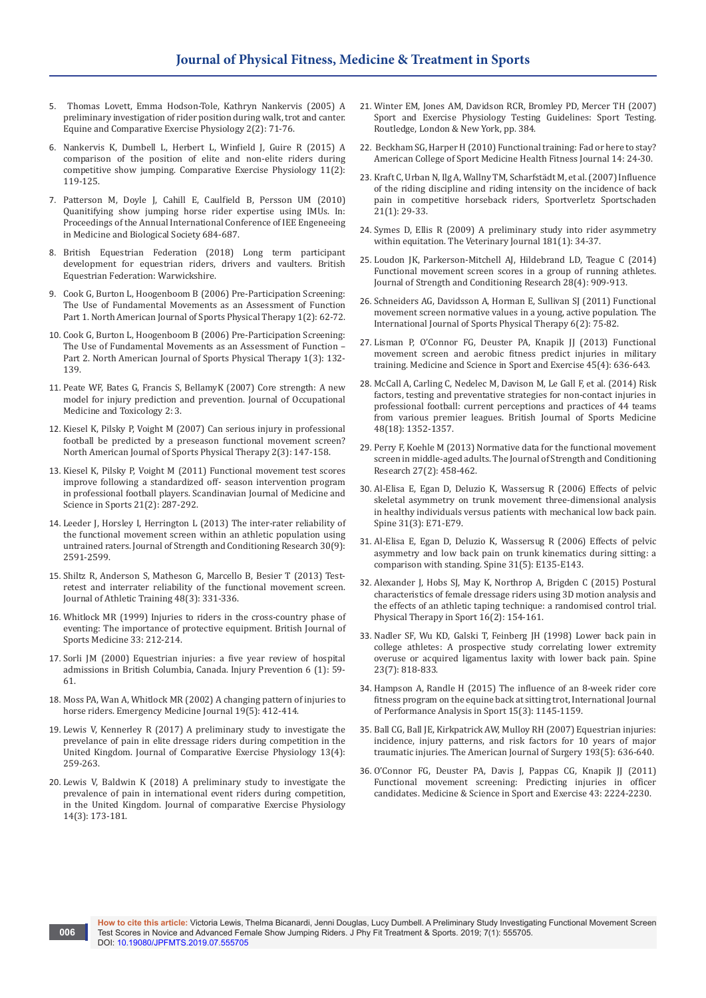- 5. [Thomas Lovett, Emma Hodson-Tole, Kathryn Nankervis \(2005\) A](https://www.cambridge.org/core/journals/equine-and-comparative-exercise-physiology/article/preliminary-investigation-of-rider-position-during-walk-trot-and-canter/ED52DCF228099F262D59720893FC444F)  [preliminary investigation of rider position during walk, trot and canter.](https://www.cambridge.org/core/journals/equine-and-comparative-exercise-physiology/article/preliminary-investigation-of-rider-position-during-walk-trot-and-canter/ED52DCF228099F262D59720893FC444F)  [Equine and Comparative Exercise Physiology 2\(2\): 71-76.](https://www.cambridge.org/core/journals/equine-and-comparative-exercise-physiology/article/preliminary-investigation-of-rider-position-during-walk-trot-and-canter/ED52DCF228099F262D59720893FC444F)
- 6. [Nankervis K, Dumbell L, Herbert L, Winfield J, Guire R \(2015\) A](https://www.wageningenacademic.com/doi/abs/10.3920/CEP150004)  [comparison of the position of elite and non-elite riders during](https://www.wageningenacademic.com/doi/abs/10.3920/CEP150004)  [competitive show jumping. Comparative Exercise Physiology 11\(2\):](https://www.wageningenacademic.com/doi/abs/10.3920/CEP150004)  [119-125.](https://www.wageningenacademic.com/doi/abs/10.3920/CEP150004)
- 7. [Patterson M, Doyle J, Cahill E, Caulfield B, Persson UM \(2010\)](https://www.ncbi.nlm.nih.gov/pubmed/21095894)  [Quanitifying show jumping horse rider expertise using IMUs. In:](https://www.ncbi.nlm.nih.gov/pubmed/21095894)  [Proceedings of the Annual International Conference of IEE Engeneeing](https://www.ncbi.nlm.nih.gov/pubmed/21095894)  [in Medicine and Biological Society 684-687.](https://www.ncbi.nlm.nih.gov/pubmed/21095894)
- 8. [British Equestrian Federation \(2018\) Long term participant](https://www.bef.co.uk/Detail.aspx?page=Long-Term-Participant-Development)  [development for equestrian riders, drivers and vaulters. British](https://www.bef.co.uk/Detail.aspx?page=Long-Term-Participant-Development)  [Equestrian Federation: Warwickshire.](https://www.bef.co.uk/Detail.aspx?page=Long-Term-Participant-Development)
- 9. [Cook G, Burton L, Hoogenboom B \(2006\) Pre-Participation Screening:](https://www.ncbi.nlm.nih.gov/pubmed/21522216/)  [The Use of Fundamental Movements as an Assessment of Function](https://www.ncbi.nlm.nih.gov/pubmed/21522216/)  [Part 1. North American Journal of Sports Physical Therapy 1\(2\): 62-72.](https://www.ncbi.nlm.nih.gov/pubmed/21522216/)
- 10. [Cook G, Burton L, Hoogenboom B \(2006\) Pre-Participation Screening:](https://www.ncbi.nlm.nih.gov/pubmed/21522225/)  [The Use of Fundamental Movements as an Assessment of Function –](https://www.ncbi.nlm.nih.gov/pubmed/21522225/)  [Part 2. North American Journal of Sports Physical Therapy 1\(3\): 132-](https://www.ncbi.nlm.nih.gov/pubmed/21522225/) [139.](https://www.ncbi.nlm.nih.gov/pubmed/21522225/)
- 11. [Peate WF, Bates G, Francis S, BellamyK \(2007\) Core strength: A new](https://www.ncbi.nlm.nih.gov/pubmed/17428333)  [model for injury prediction and prevention. Journal of Occupational](https://www.ncbi.nlm.nih.gov/pubmed/17428333)  [Medicine and Toxicology 2: 3.](https://www.ncbi.nlm.nih.gov/pubmed/17428333)
- 12. [Kiesel K, Pilsky P, Voight M \(2007\) Can serious injury in professional](https://www.ncbi.nlm.nih.gov/pubmed/21522210)  [football be predicted by a preseason functional movement screen?](https://www.ncbi.nlm.nih.gov/pubmed/21522210)  [North American Journal of Sports Physical Therapy 2\(3\): 147-158.](https://www.ncbi.nlm.nih.gov/pubmed/21522210)
- 13. [Kiesel K, Pilsky P, Voight M \(2011\) Functional movement test scores](https://www.ncbi.nlm.nih.gov/pubmed/20030782)  [improve following a standardized off- season intervention program](https://www.ncbi.nlm.nih.gov/pubmed/20030782)  [in professional football players. Scandinavian Journal of Medicine and](https://www.ncbi.nlm.nih.gov/pubmed/20030782)  [Science in Sports 21\(2\): 287-292.](https://www.ncbi.nlm.nih.gov/pubmed/20030782)
- 14. [Leeder J, Horsley I, Herrington L \(2013\) The inter-rater reliability of](https://www.ncbi.nlm.nih.gov/pubmed/23838983)  [the functional movement screen within an athletic population using](https://www.ncbi.nlm.nih.gov/pubmed/23838983)  [untrained raters. Journal of Strength and Conditioning Research 30\(9\):](https://www.ncbi.nlm.nih.gov/pubmed/23838983)  [2591-2599.](https://www.ncbi.nlm.nih.gov/pubmed/23838983)
- 15. [Shiltz R, Anderson S, Matheson G, Marcello B, Besier T \(2013\) Test](https://www.ncbi.nlm.nih.gov/pubmed/23675792)[retest and interrater reliability of the functional movement screen.](https://www.ncbi.nlm.nih.gov/pubmed/23675792)  [Journal of Athletic Training 48\(3\): 331-336.](https://www.ncbi.nlm.nih.gov/pubmed/23675792)
- 16. [Whitlock MR \(1999\) Injuries to riders in the cross-country phase of](https://bjsm.bmj.com/content/33/3/212)  [eventing: The importance of protective equipment. British Journal of](https://bjsm.bmj.com/content/33/3/212)  [Sports Medicine 33: 212-214.](https://bjsm.bmj.com/content/33/3/212)
- 17. [Sorli JM \(2000\) Equestrian injuries: a five year review of hospital](https://www.ncbi.nlm.nih.gov/pubmed/10728545)  [admissions in British Columbia, Canada. Injury Prevention 6 \(1\): 59-](https://www.ncbi.nlm.nih.gov/pubmed/10728545) [61.](https://www.ncbi.nlm.nih.gov/pubmed/10728545)
- 18. [Moss PA, Wan A, Whitlock MR \(2002\) A changing pattern of injuries to](https://emj.bmj.com/content/19/5/412)  [horse riders. Emergency Medicine Journal 19\(5\): 412-414.](https://emj.bmj.com/content/19/5/412)
- 19. [Lewis V, Kennerley R \(2017\) A preliminary study to investigate the](https://www.wageningenacademic.com/doi/abs/10.3920/CEP180006)  [prevelance of pain in elite dressage riders during competition in the](https://www.wageningenacademic.com/doi/abs/10.3920/CEP180006)  [United Kingdom. Journal of Comparative Exercise Physiology 13\(4\):](https://www.wageningenacademic.com/doi/abs/10.3920/CEP180006)  [259-263.](https://www.wageningenacademic.com/doi/abs/10.3920/CEP180006)
- 20. [Lewis V, Baldwin K \(2018\) A preliminary study to investigate the](https://www.wageningenacademic.com/doi/abs/10.3920/CEP180006)  [prevalence of pain in international event riders during competition,](https://www.wageningenacademic.com/doi/abs/10.3920/CEP180006)  [in the United Kingdom. Journal of comparative Exercise Physiology](https://www.wageningenacademic.com/doi/abs/10.3920/CEP180006)  [14\(3\): 173-181.](https://www.wageningenacademic.com/doi/abs/10.3920/CEP180006)

**006**

- 21. [Winter EM, Jones AM, Davidson RCR, Bromley PD, Mercer TH \(2007\)](https://www.taylorfrancis.com/books/e/9780203966846)  [Sport and Exercise Physiology Testing Guidelines: Sport Testing.](https://www.taylorfrancis.com/books/e/9780203966846)  [Routledge, London & New York, pp. 384.](https://www.taylorfrancis.com/books/e/9780203966846)
- 22. Beckham SG, Harper H (2010) Functional training: Fad or here to stay? American College of Sport Medicine Health Fitness Journal 14: 24-30.
- 23. [Kraft C, Urban N, Ilg A, Wallny TM, Scharfstädt M, et al. \(2007\) Influence](https://www.ncbi.nlm.nih.gov/pubmed/17385102)  [of the riding discipline and riding intensity on the incidence of back](https://www.ncbi.nlm.nih.gov/pubmed/17385102)  [pain in competitive horseback riders, Sportverletz Sportschaden](https://www.ncbi.nlm.nih.gov/pubmed/17385102)  [21\(1\): 29-33.](https://www.ncbi.nlm.nih.gov/pubmed/17385102)
- 24. [Symes D, Ellis R \(2009\) A preliminary study into rider asymmetry](https://www.sciencedirect.com/science/article/pii/S1090023309001142)  [within equitation. The Veterinary Journal 181\(1\): 34-37.](https://www.sciencedirect.com/science/article/pii/S1090023309001142)
- 25. [Loudon JK, Parkerson-Mitchell AJ, Hildebrand LD, Teague C \(2014\)](https://www.ncbi.nlm.nih.gov/pubmed/24662154)  [Functional movement screen scores in a group of running athletes.](https://www.ncbi.nlm.nih.gov/pubmed/24662154)  [Journal of Strength and Conditioning Research 28\(4\): 909-913.](https://www.ncbi.nlm.nih.gov/pubmed/24662154)
- 26. [Schneiders AG, Davidsson A, Horman E, Sullivan SJ \(2011\) Functional](https://www.ncbi.nlm.nih.gov/pubmed/21713227/)  [movement screen normative values in a young, active population. The](https://www.ncbi.nlm.nih.gov/pubmed/21713227/)  [International Journal of Sports Physical Therapy 6\(2\): 75-82.](https://www.ncbi.nlm.nih.gov/pubmed/21713227/)
- 27. [Lisman P, O'Connor FG, Deuster PA, Knapik JJ \(2013\) Functional](https://www.ncbi.nlm.nih.gov/pubmed/23190584)  [movement screen and aerobic fitness predict injuries in military](https://www.ncbi.nlm.nih.gov/pubmed/23190584)  [training. Medicine and Science in Sport and Exercise 45\(4\): 636-643.](https://www.ncbi.nlm.nih.gov/pubmed/23190584)
- 28. [McCall A, Carling C, Nedelec M, Davison M, Le Gall F, et al. \(2014\) Risk](https://www.ncbi.nlm.nih.gov/pubmed/24837243)  [factors, testing and preventative strategies for non-contact injuries in](https://www.ncbi.nlm.nih.gov/pubmed/24837243)  [professional football: current perceptions and practices of 44 teams](https://www.ncbi.nlm.nih.gov/pubmed/24837243)  [from various premier leagues. British Journal of Sports Medicine](https://www.ncbi.nlm.nih.gov/pubmed/24837243)  [48\(18\): 1352-1357.](https://www.ncbi.nlm.nih.gov/pubmed/24837243)
- 29. [Perry F, Koehle M \(2013\) Normative data for the functional movement](https://www.ncbi.nlm.nih.gov/pubmed/22561971)  [screen in middle-aged adults. The Journal of Strength and Conditioning](https://www.ncbi.nlm.nih.gov/pubmed/22561971)  [Research 27\(2\): 458-462.](https://www.ncbi.nlm.nih.gov/pubmed/22561971)
- 30. [Al-Elisa E, Egan D, Deluzio K, Wassersug R \(2006\) Effects of pelvic](https://www.ncbi.nlm.nih.gov/pubmed/16449891)  [skeletal asymmetry on trunk movement three-dimensional analysis](https://www.ncbi.nlm.nih.gov/pubmed/16449891)  [in healthy individuals versus patients with mechanical low back pain.](https://www.ncbi.nlm.nih.gov/pubmed/16449891)  [Spine 31\(3\): E71-E79.](https://www.ncbi.nlm.nih.gov/pubmed/16449891)
- 31. [Al-Elisa E, Egan D, Deluzio K, Wassersug R \(2006\) Effects of pelvic](https://www.ncbi.nlm.nih.gov/pubmed/16508537)  [asymmetry and low back pain on trunk kinematics during sitting: a](https://www.ncbi.nlm.nih.gov/pubmed/16508537)  [comparison with standing. Spine 31\(5\): E135-E143.](https://www.ncbi.nlm.nih.gov/pubmed/16508537)
- 32. [Alexander J, Hobs SJ, May K, Northrop A, Brigden C \(2015\) Postural](https://www.ncbi.nlm.nih.gov/pubmed/25662002)  [characteristics of female dressage riders using 3D motion analysis and](https://www.ncbi.nlm.nih.gov/pubmed/25662002)  [the effects of an athletic taping technique: a randomised control trial.](https://www.ncbi.nlm.nih.gov/pubmed/25662002)  [Physical Therapy in Sport 16\(2\): 154-161.](https://www.ncbi.nlm.nih.gov/pubmed/25662002)
- 33. [Nadler SF, Wu KD, Galski T, Feinberg JH \(1998\) Lower back pain in](https://www.ncbi.nlm.nih.gov/pubmed/9563115)  [college athletes: A prospective study correlating lower extremity](https://www.ncbi.nlm.nih.gov/pubmed/9563115)  [overuse or acquired ligamentus laxity with lower back pain. Spine](https://www.ncbi.nlm.nih.gov/pubmed/9563115)  [23\(7\): 818-833.](https://www.ncbi.nlm.nih.gov/pubmed/9563115)
- 34. [Hampson A, Randle H \(2015\) The influence of an 8-week rider core](https://www.tandfonline.com/doi/abs/10.1080/24748668.2015.11868858)  [fitness program on the equine back at sitting trot, International Journal](https://www.tandfonline.com/doi/abs/10.1080/24748668.2015.11868858)  [of Performance Analysis in Sport 15\(3\): 1145-1159.](https://www.tandfonline.com/doi/abs/10.1080/24748668.2015.11868858)
- 35. [Ball CG, Ball JE, Kirkpatrick AW, Mulloy RH \(2007\) Equestrian injuries:](https://www.ncbi.nlm.nih.gov/pubmed/17434372)  [incidence, injury patterns, and risk factors for 10 years of major](https://www.ncbi.nlm.nih.gov/pubmed/17434372)  [traumatic injuries. The American Journal of Surgery 193\(5\): 636-640](https://www.ncbi.nlm.nih.gov/pubmed/17434372).
- 36. [O'Connor FG, Deuster PA, Davis J, Pappas CG, Knapik JJ \(2011\)](https://www.ncbi.nlm.nih.gov/pubmed/21606876)  [Functional movement screening: Predicting injuries in officer](https://www.ncbi.nlm.nih.gov/pubmed/21606876)  [candidates. Medicine & Science in Sport and Exercise 43: 2224-2230.](https://www.ncbi.nlm.nih.gov/pubmed/21606876)